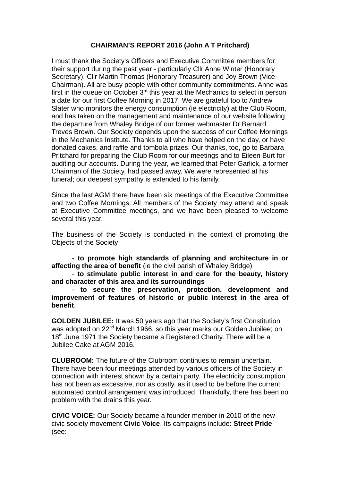## **CHAIRMAN'S REPORT 2016 (John A T Pritchard)**

I must thank the Society's Officers and Executive Committee members for their support during the past year - particularly Cllr Anne Winter (Honorary Secretary), Cllr Martin Thomas (Honorary Treasurer) and Joy Brown (Vice-Chairman). All are busy people with other community commitments. Anne was first in the queue on October  $3<sup>rd</sup>$  this year at the Mechanics to select in person a date for our first Coffee Morning in 2017. We are grateful too to Andrew Slater who monitors the energy consumption (ie electricity) at the Club Room, and has taken on the management and maintenance of our website following the departure from Whaley Bridge of our former webmaster Dr Bernard Treves Brown. Our Society depends upon the success of our Coffee Mornings in the Mechanics Institute. Thanks to all who have helped on the day, or have donated cakes, and raffle and tombola prizes. Our thanks, too, go to Barbara Pritchard for preparing the Club Room for our meetings and to Eileen Burt for auditing our accounts. During the year, we learned that Peter Garlick, a former Chairman of the Society, had passed away. We were represented at his funeral; our deepest sympathy is extended to his family.

Since the last AGM there have been six meetings of the Executive Committee and two Coffee Mornings. All members of the Society may attend and speak at Executive Committee meetings, and we have been pleased to welcome several this year.

The business of the Society is conducted in the context of promoting the Objects of the Society:

- **to promote high standards of planning and architecture in or affecting the area of benefit** (ie the civil parish of Whaley Bridge)

- **to stimulate public interest in and care for the beauty, history and character of this area and its surroundings**

- **to secure the preservation, protection, development and improvement of features of historic or public interest in the area of benefit**.

**GOLDEN JUBILEE:** It was 50 years ago that the Society's first Constitution was adopted on 22<sup>nd</sup> March 1966, so this year marks our Golden Jubilee; on  $18<sup>th</sup>$  June 1971 the Society became a Registered Charity. There will be a Jubilee Cake at AGM 2016.

**CLUBROOM:** The future of the Clubroom continues to remain uncertain. There have been four meetings attended by various officers of the Society in connection with interest shown by a certain party. The electricity consumption has not been as excessive, nor as costly, as it used to be before the current automated control arrangement was introduced. Thankfully, there has been no problem with the drains this year.

**CIVIC VOICE:** Our Society became a founder member in 2010 of the new civic society movement **Civic Voice**. Its campaigns include: **Street Pride** (see: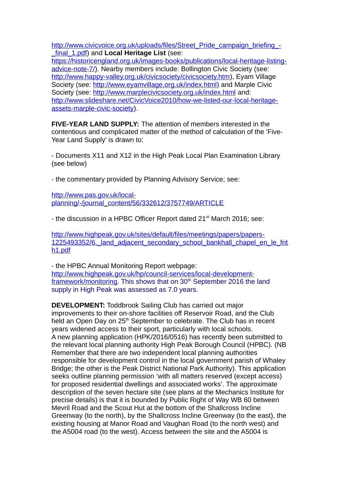[http://www.civicvoice.org.uk/uploads/files/Street\\_Pride\\_campaign\\_briefing\\_-](http://www.civicvoice.org.uk/uploads/files/Street_Pride_campaign_briefing_-_final_1.pdf) [\\_final\\_1.pdf\)](http://www.civicvoice.org.uk/uploads/files/Street_Pride_campaign_briefing_-_final_1.pdf) and **Local Heritage List** (see:

[https://historicengland.org.uk/images-books/publications/local-heritage-listing](https://historicengland.org.uk/images-books/publications/local-heritage-listing-advice-note-7/)[advice-note-7/\)](https://historicengland.org.uk/images-books/publications/local-heritage-listing-advice-note-7/). Nearby members include: Bollington Civic Society (see: [http://www.happy-valley.org.uk/civicsociety/civicsociety.htm\)](http://www.happy-valley.org.uk/civicsociety/civicsociety.htm), Eyam Village Society (see: [http://www.eyamvillage.org.uk/index.html\)](http://www.eyamvillage.org.uk/index.html) and Marple Civic Society (see: <http://www.marplecivicsociety.org.uk/index.html> and: [http://www.slideshare.net/CivicVoice2010/how-we-listed-our-local-heritage](http://www.slideshare.net/CivicVoice2010/how-we-listed-our-local-heritage-assets-marple-civic-society)[assets-marple-civic-society\)](http://www.slideshare.net/CivicVoice2010/how-we-listed-our-local-heritage-assets-marple-civic-society).

**FIVE-YEAR LAND SUPPLY:** The attention of members interested in the contentious and complicated matter of the method of calculation of the 'Five-Year Land Supply' is drawn to:

- Documents X11 and X12 in the High Peak Local Plan Examination Library (see below)

- the commentary provided by Planning Advisory Service; see:

[http://www.pas.gov.uk/local](http://www.pas.gov.uk/local-planning/-/journal_content/56/332612/3757749/ARTICLE)[planning/-/journal\\_content/56/332612/3757749/ARTICLE](http://www.pas.gov.uk/local-planning/-/journal_content/56/332612/3757749/ARTICLE)

- the discussion in a HPBC Officer Report dated 21<sup>st</sup> March 2016; see:

[http://www.highpeak.gov.uk/sites/default/files/meetings/papers/papers-](http://www.highpeak.gov.uk/sites/default/files/meetings/papers/papers-1225493352/6._land_adjacent_secondary_school_bankhall_chapel_en_le_frith1.pdf)1225493352/6. land adjacent secondary school bankhall chapel en le frit [h1.pdf](http://www.highpeak.gov.uk/sites/default/files/meetings/papers/papers-1225493352/6._land_adjacent_secondary_school_bankhall_chapel_en_le_frith1.pdf)

- the HPBC Annual Monitoring Report webpage: [http://www.highpeak.gov.uk/hp/council-services/local-development](http://www.highpeak.gov.uk/hp/council-services/local-development-framework/monitoring)[framework/monitoring.](http://www.highpeak.gov.uk/hp/council-services/local-development-framework/monitoring) This shows that on 30<sup>th</sup> September 2016 the land supply in High Peak was assessed as 7.0 years.

**DEVELOPMENT:** Toddbrook Sailing Club has carried out major improvements to their on-shore facilities off Reservoir Road, and the Club held an Open Day on 25<sup>th</sup> September to celebrate. The Club has in recent years widened access to their sport, particularly with local schools. A new planning application (HPK/2016/0516) has recently been submitted to the relevant local planning authority High Peak Borough Council (HPBC). (NB Remember that there are two independent local planning authorities responsible for development control in the local government parish of Whaley Bridge; the other is the Peak District National Park Authority). This application seeks outline planning permission 'with all matters reserved (except access) for proposed residential dwellings and associated works'. The approximate description of the seven hectare site (see plans at the Mechanics Institute for precise details) is that it is bounded by Public Right of Way WB 60 between Mevril Road and the Scout Hut at the bottom of the Shallcross Incline Greenway (to the north), by the Shallcross Incline Greenway (to the east), the existing housing at Manor Road and Vaughan Road (to the north west) and the A5004 road (to the west). Access between the site and the A5004 is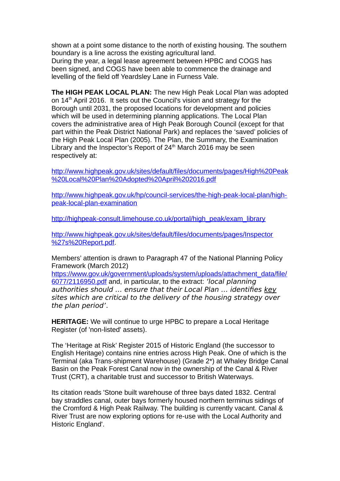shown at a point some distance to the north of existing housing. The southern boundary is a line across the existing agricultural land.

During the year, a legal lease agreement between HPBC and COGS has been signed, and COGS have been able to commence the drainage and levelling of the field off Yeardsley Lane in Furness Vale.

**The HIGH PEAK LOCAL PLAN:** The new High Peak Local Plan was adopted on 14th April 2016. It sets out the Council's vision and strategy for the Borough until 2031, the proposed locations for development and policies which will be used in determining planning applications. The Local Plan covers the administrative area of High Peak Borough Council (except for that part within the Peak District National Park) and replaces the 'saved' policies of the High Peak Local Plan (2005). The Plan, the Summary, the Examination Library and the Inspector's Report of  $24<sup>th</sup>$  March 2016 may be seen respectively at:

[http://www.highpeak.gov.uk/sites/default/files/documents/pages/High%20Peak](http://www.highpeak.gov.uk/sites/default/files/documents/pages/High%20Peak%20Local%20Plan%20Adopted%20April%202016.pdf) [%20Local%20Plan%20Adopted%20April%202016.pdf](http://www.highpeak.gov.uk/sites/default/files/documents/pages/High%20Peak%20Local%20Plan%20Adopted%20April%202016.pdf)

[http://www.highpeak.gov.uk/hp/council-services/the-high-peak-local-plan/high](http://www.highpeak.gov.uk/hp/council-services/the-high-peak-local-plan/high-peak-local-plan-examination)[peak-local-plan-examination](http://www.highpeak.gov.uk/hp/council-services/the-high-peak-local-plan/high-peak-local-plan-examination)

[http://highpeak-consult.limehouse.co.uk/portal/high\\_peak/exam\\_library](http://highpeak-consult.limehouse.co.uk/portal/high_peak/exam_library)

<http://www.highpeak.gov.uk/sites/default/files/documents/pages/Inspector> [%27s%20Report.pdf.](http://www.highpeak.gov.uk/sites/default/files/documents/pages/Inspector)

Members' attention is drawn to Paragraph 47 of the National Planning Policy Framework (March 2012)

[https://www.gov.uk/government/uploads/system/uploads/attachment\\_data/file/](https://www.gov.uk/government/uploads/system/uploads/attachment_data/file/6077/2116950.pdf) [6077/2116950.pdf](https://www.gov.uk/government/uploads/system/uploads/attachment_data/file/6077/2116950.pdf) and, in particular, to the extract: 'local planning authorities should … ensure that their Local Plan … identifies key sites which are critical to the delivery of the housing strategy over the plan period'.

**HERITAGE:** We will continue to urge HPBC to prepare a Local Heritage Register (of 'non-listed' assets).

The 'Heritage at Risk' Register 2015 of Historic England (the successor to English Heritage) contains nine entries across High Peak. One of which is the Terminal (aka Trans-shipment Warehouse) (Grade 2\*) at Whaley Bridge Canal Basin on the Peak Forest Canal now in the ownership of the Canal & River Trust (CRT), a charitable trust and successor to British Waterways.

Its citation reads 'Stone built warehouse of three bays dated 1832. Central bay straddles canal, outer bays formerly housed northern terminus sidings of the Cromford & High Peak Railway. The building is currently vacant. Canal & River Trust are now exploring options for re-use with the Local Authority and Historic England'.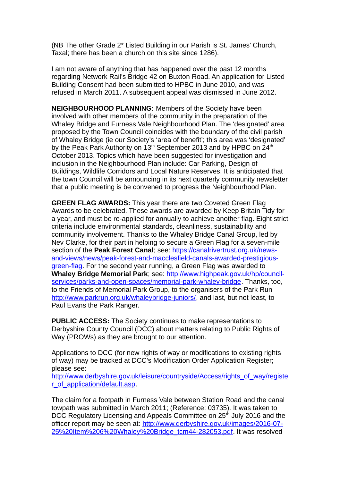(NB The other Grade 2\* Listed Building in our Parish is St. James' Church, Taxal; there has been a church on this site since 1286).

I am not aware of anything that has happened over the past 12 months regarding Network Rail's Bridge 42 on Buxton Road. An application for Listed Building Consent had been submitted to HPBC in June 2010, and was refused in March 2011. A subsequent appeal was dismissed in June 2012.

**NEIGHBOURHOOD PLANNING:** Members of the Society have been involved with other members of the community in the preparation of the Whaley Bridge and Furness Vale Neighbourhood Plan. The 'designated' area proposed by the Town Council coincides with the boundary of the civil parish of Whaley Bridge (ie our Society's 'area of benefit'; this area was 'designated' by the Peak Park Authority on 13<sup>th</sup> September 2013 and by HPBC on 24<sup>th</sup> October 2013. Topics which have been suggested for investigation and inclusion in the Neighbourhood Plan include: Car Parking, Design of Buildings, Wildlife Corridors and Local Nature Reserves. It is anticipated that the town Council will be announcing in its next quarterly community newsletter that a public meeting is be convened to progress the Neighbourhood Plan.

**GREEN FLAG AWARDS:** This year there are two Coveted Green Flag Awards to be celebrated. These awards are awarded by Keep Britain Tidy for a year, and must be re-applied for annually to achieve another flag. Eight strict criteria include environmental standards, cleanliness, sustainability and community involvement. Thanks to the Whaley Bridge Canal Group, led by Nev Clarke, for their part in helping to secure a Green Flag for a seven-mile section of the **Peak Forest Canal**; see: [https://canalrivertrust.org.uk/news](https://canalrivertrust.org.uk/news-and-views/news/peak-forest-and-macclesfield-canals-awarded-prestigious-green-flag)[and-views/news/peak-forest-and-macclesfield-canals-awarded-prestigious](https://canalrivertrust.org.uk/news-and-views/news/peak-forest-and-macclesfield-canals-awarded-prestigious-green-flag)[green-flag.](https://canalrivertrust.org.uk/news-and-views/news/peak-forest-and-macclesfield-canals-awarded-prestigious-green-flag) For the second year running, a Green Flag was awarded to **Whaley Bridge Memorial Park**; see: [http://www.highpeak.gov.uk/hp/council](http://www.highpeak.gov.uk/hp/council-services/parks-and-open-spaces/memorial-park-whaley-bridge)[services/parks-and-open-spaces/memorial-park-whaley-bridge.](http://www.highpeak.gov.uk/hp/council-services/parks-and-open-spaces/memorial-park-whaley-bridge) Thanks, too, to the Friends of Memorial Park Group, to the organisers of the Park Run [http://www.parkrun.org.uk/whaleybridge-juniors/,](http://www.parkrun.org.uk/whaleybridge-juniors/) and last, but not least, to Paul Evans the Park Ranger.

**PUBLIC ACCESS:** The Society continues to make representations to Derbyshire County Council (DCC) about matters relating to Public Rights of Way (PROWs) as they are brought to our attention.

Applications to DCC (for new rights of way or modifications to existing rights of way) may be tracked at DCC's Modification Order Application Register; please see:

[http://www.derbyshire.gov.uk/leisure/countryside/Access/rights\\_of\\_way/registe](http://www.derbyshire.gov.uk/leisure/countryside/Access/rights_of_way/register_of_application/default.asp) [r\\_of\\_application/default.asp.](http://www.derbyshire.gov.uk/leisure/countryside/Access/rights_of_way/register_of_application/default.asp)

The claim for a footpath in Furness Vale between Station Road and the canal towpath was submitted in March 2011; (Reference: 03735). It was taken to DCC Regulatory Licensing and Appeals Committee on 25<sup>th</sup> July 2016 and the officer report may be seen at: [http://www.derbyshire.gov.uk/images/2016-07-](http://www.derbyshire.gov.uk/images/2016-07-25%20Item%206%20Whaley%20Bridge_tcm44-282053.pdf) [25%20Item%206%20Whaley%20Bridge\\_tcm44-282053.pdf.](http://www.derbyshire.gov.uk/images/2016-07-25%20Item%206%20Whaley%20Bridge_tcm44-282053.pdf) It was resolved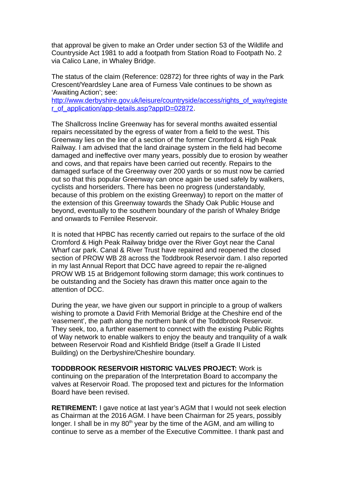that approval be given to make an Order under section 53 of the Wildlife and Countryside Act 1981 to add a footpath from Station Road to Footpath No. 2 via Calico Lane, in Whaley Bridge.

The status of the claim (Reference: 02872) for three rights of way in the Park Crescent/Yeardsley Lane area of Furness Vale continues to be shown as 'Awaiting Action'; see:

[http://www.derbyshire.gov.uk/leisure/countryside/access/rights\\_of\\_way/registe](http://www.derbyshire.gov.uk/leisure/countryside/access/rights_of_way/register_of_application/app-details.asp?appID=02872) [r\\_of\\_application/app-details.asp?appID=02872.](http://www.derbyshire.gov.uk/leisure/countryside/access/rights_of_way/register_of_application/app-details.asp?appID=02872)

The Shallcross Incline Greenway has for several months awaited essential repairs necessitated by the egress of water from a field to the west. This Greenway lies on the line of a section of the former Cromford & High Peak Railway. I am advised that the land drainage system in the field had become damaged and ineffective over many years, possibly due to erosion by weather and cows, and that repairs have been carried out recently. Repairs to the damaged surface of the Greenway over 200 yards or so must now be carried out so that this popular Greenway can once again be used safely by walkers, cyclists and horseriders. There has been no progress (understandably, because of this problem on the existing Greenway) to report on the matter of the extension of this Greenway towards the Shady Oak Public House and beyond, eventually to the southern boundary of the parish of Whaley Bridge and onwards to Fernilee Reservoir.

It is noted that HPBC has recently carried out repairs to the surface of the old Cromford & High Peak Railway bridge over the River Goyt near the Canal Wharf car park. Canal & River Trust have repaired and reopened the closed section of PROW WB 28 across the Toddbrook Reservoir dam. I also reported in my last Annual Report that DCC have agreed to repair the re-aligned PROW WB 15 at Bridgemont following storm damage; this work continues to be outstanding and the Society has drawn this matter once again to the attention of DCC.

During the year, we have given our support in principle to a group of walkers wishing to promote a David Frith Memorial Bridge at the Cheshire end of the 'easement', the path along the northern bank of the Toddbrook Reservoir. They seek, too, a further easement to connect with the existing Public Rights of Way network to enable walkers to enjoy the beauty and tranquility of a walk between Reservoir Road and Kishfield Bridge (itself a Grade II Listed Building) on the Derbyshire/Cheshire boundary.

**TODDBROOK RESERVOIR HISTORIC VALVES PROJECT:** Work is continuing on the preparation of the Interpretation Board to accompany the valves at Reservoir Road. The proposed text and pictures for the Information Board have been revised.

**RETIREMENT:** I gave notice at last year's AGM that I would not seek election as Chairman at the 2016 AGM. I have been Chairman for 25 years, possibly longer. I shall be in my 80<sup>th</sup> year by the time of the AGM, and am willing to continue to serve as a member of the Executive Committee. I thank past and